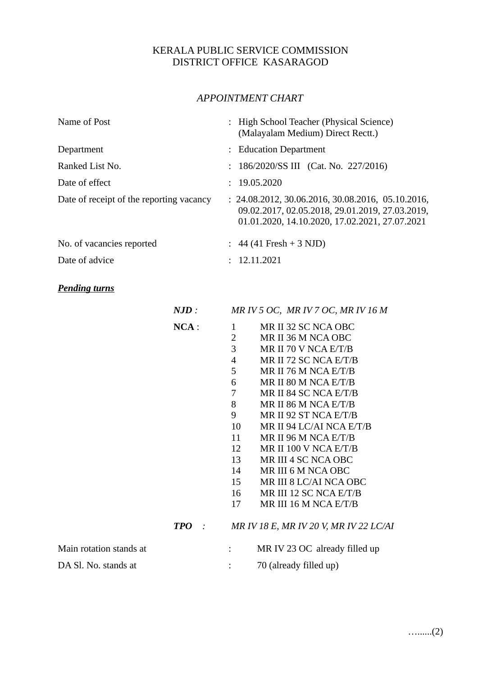## KERALA PUBLIC SERVICE COMMISSION DISTRICT OFFICE KASARAGOD

## *APPOINTMENT CHART*

| Name of Post                             | : High School Teacher (Physical Science)<br>(Malayalam Medium) Direct Rectt.)                                                                            |
|------------------------------------------|----------------------------------------------------------------------------------------------------------------------------------------------------------|
| Department                               | : Education Department                                                                                                                                   |
| Ranked List No.                          | : $186/2020/SS III$ (Cat. No. 227/2016)                                                                                                                  |
| Date of effect                           | : 19.05.2020                                                                                                                                             |
| Date of receipt of the reporting vacancy | $: 24.08.2012, 30.06.2016, 30.08.2016, 05.10.2016,$<br>09.02.2017, 02.05.2018, 29.01.2019, 27.03.2019,<br>01.01.2020, 14.10.2020, 17.02.2021, 27.07.2021 |
| No. of vacancies reported                | $: 44(41$ Fresh + 3 NJD)                                                                                                                                 |
| Date of advice                           | : 12.11.2021                                                                                                                                             |

## *Pending turns*

|                         | NJD:       |                | MR IV 5 OC, MR IV 7 OC, MR IV 16 M     |
|-------------------------|------------|----------------|----------------------------------------|
|                         | $NCA$ :    | $\mathbf{1}$   | MR II 32 SC NCA OBC                    |
|                         |            | $\overline{2}$ | MR II 36 M NCA OBC                     |
|                         |            | 3              | MR II 70 V NCA E/T/B                   |
|                         |            | $\overline{4}$ | MR II 72 SC NCA E/T/B                  |
|                         |            | 5              | MR II 76 M NCA E/T/B                   |
|                         |            | 6              | MR II 80 M NCA E/T/B                   |
|                         |            | 7              | MR II 84 SC NCA E/T/B                  |
|                         |            | 8              | MR II 86 M NCA E/T/B                   |
|                         |            | 9              | MR II 92 ST NCA E/T/B                  |
|                         |            | 10             | MR II 94 LC/AI NCA E/T/B               |
|                         |            | 11             | MR II 96 M NCA E/T/B                   |
|                         |            | 12             | MR II 100 V NCA E/T/B                  |
|                         |            | 13             | MR III 4 SC NCA OBC                    |
|                         |            | 14             | MR III 6 M NCA OBC                     |
|                         |            | 15             | MR III 8 LC/AI NCA OBC                 |
|                         |            | 16             | MR III 12 SC NCA E/T/B                 |
|                         |            | 17             | MR III 16 M NCA E/T/B                  |
|                         | <b>TPO</b> |                | MR IV 18 E, MR IV 20 V, MR IV 22 LC/AI |
| Main rotation stands at |            |                | MR IV 23 OC already filled up          |
| DA Sl. No. stands at    |            |                | 70 (already filled up)                 |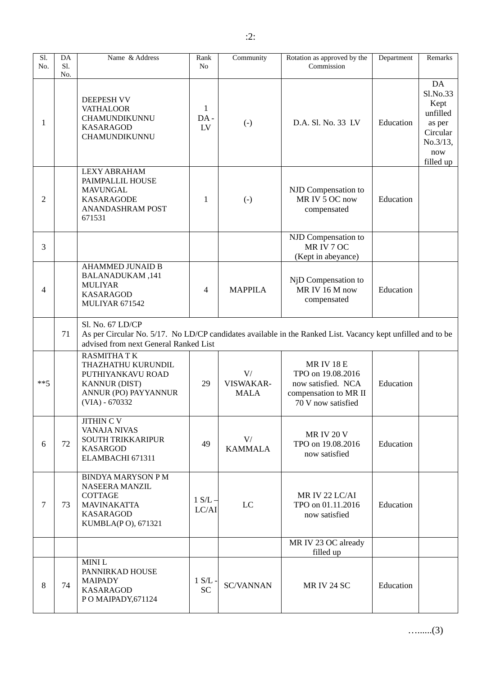| Sl.<br>No. | DA<br>Sl.<br>No. | Name & Address                                                                                                                                                           | Rank<br>No                        | Community                      | Rotation as approved by the<br>Commission                                                                | Department | Remarks                                                                                  |
|------------|------------------|--------------------------------------------------------------------------------------------------------------------------------------------------------------------------|-----------------------------------|--------------------------------|----------------------------------------------------------------------------------------------------------|------------|------------------------------------------------------------------------------------------|
| 1          |                  | <b>DEEPESH VV</b><br><b>VATHALOOR</b><br>CHAMUNDIKUNNU<br><b>KASARAGOD</b><br>CHAMUNDIKUNNU                                                                              | $\mathbf{1}$<br>DA-<br>${\rm LV}$ | $(-)$                          | D.A. Sl. No. 33 LV                                                                                       | Education  | DA<br>Sl.No.33<br>Kept<br>unfilled<br>as per<br>Circular<br>No.3/13,<br>now<br>filled up |
| 2          |                  | <b>LEXY ABRAHAM</b><br>PAIMPALLIL HOUSE<br><b>MAVUNGAL</b><br><b>KASARAGODE</b><br><b>ANANDASHRAM POST</b><br>671531                                                     | $\mathbf{1}$                      | $(-)$                          | NJD Compensation to<br>MR IV 5 OC now<br>compensated                                                     | Education  |                                                                                          |
| 3          |                  |                                                                                                                                                                          |                                   |                                | NJD Compensation to<br>MR IV 7 OC<br>(Kept in abeyance)                                                  |            |                                                                                          |
| 4          |                  | <b>AHAMMED JUNAID B</b><br>141, BALANADUKAM<br><b>MULIYAR</b><br><b>KASARAGOD</b><br>MULIYAR 671542                                                                      | $\overline{4}$                    | <b>MAPPILA</b>                 | NjD Compensation to<br>MR IV 16 M now<br>compensated                                                     | Education  |                                                                                          |
|            | 71               | Sl. No. 67 LD/CP<br>As per Circular No. 5/17. No LD/CP candidates available in the Ranked List. Vacancy kept unfilled and to be<br>advised from next General Ranked List |                                   |                                |                                                                                                          |            |                                                                                          |
| $***5$     |                  | <b>RASMITHATK</b><br>THAZHATHU KURUNDIL<br>PUTHIYANKAVU ROAD<br><b>KANNUR (DIST)</b><br>ANNUR (PO) PAYYANNUR<br>$(VIA) - 670332$                                         | 29                                | V/<br>VISWAKAR-<br><b>MALA</b> | <b>MRIV18E</b><br>TPO on 19.08.2016<br>now satisfied. NCA<br>compensation to MR II<br>70 V now satisfied | Education  |                                                                                          |
| 6          | 72               | <b>JITHIN C V</b><br><b>VANAJA NIVAS</b><br><b>SOUTH TRIKKARIPUR</b><br><b>KASARGOD</b><br>ELAMBACHI 671311                                                              | 49                                | V/<br><b>KAMMALA</b>           | <b>MR IV 20 V</b><br>TPO on 19.08.2016<br>now satisfied                                                  | Education  |                                                                                          |
| 7          | 73               | <b>BINDYA MARYSON PM</b><br><b>NASEERA MANZIL</b><br>COTTAGE<br><b>MAVINAKATTA</b><br><b>KASARAGOD</b><br>KUMBLA(PO), 671321                                             | 1 S/L<br>LC/AI                    | LC                             | MR IV 22 LC/AI<br>TPO on 01.11.2016<br>now satisfied                                                     | Education  |                                                                                          |
|            |                  |                                                                                                                                                                          |                                   |                                | MR IV 23 OC already<br>filled up                                                                         |            |                                                                                          |
| 8          | 74               | MINI L<br>PANNIRKAD HOUSE<br><b>MAIPADY</b><br><b>KASARAGOD</b><br>PO MAIPADY, 671124                                                                                    | 1 S/L<br><b>SC</b>                | <b>SC/VANNAN</b>               | <b>MR IV 24 SC</b>                                                                                       | Education  |                                                                                          |

…......(3)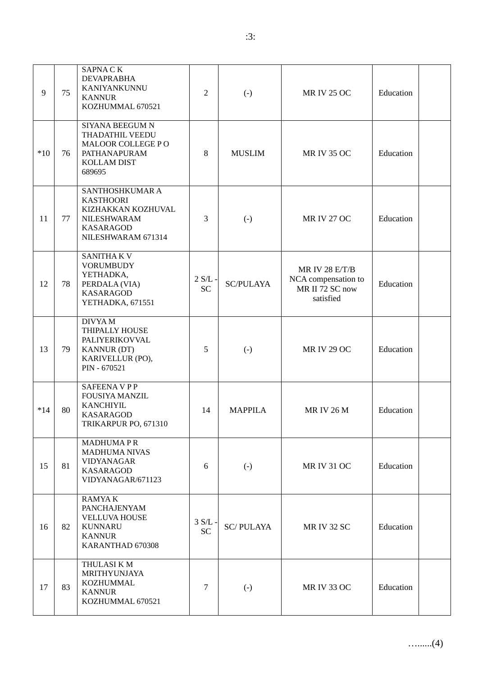| 9     | 75 | <b>SAPNACK</b><br><b>DEVAPRABHA</b><br>KANIYANKUNNU<br><b>KANNUR</b><br>KOZHUMMAL 670521                           | $\overline{2}$     | $(-)$             | <b>MR IV 25 OC</b>                                                    | Education |  |
|-------|----|--------------------------------------------------------------------------------------------------------------------|--------------------|-------------------|-----------------------------------------------------------------------|-----------|--|
| $*10$ | 76 | SIYANA BEEGUM N<br>THADATHIL VEEDU<br>MALOOR COLLEGE PO<br>PATHANAPURAM<br>KOLLAM DIST<br>689695                   | 8                  | <b>MUSLIM</b>     | <b>MR IV 35 OC</b>                                                    | Education |  |
| 11    | 77 | SANTHOSHKUMAR A<br><b>KASTHOORI</b><br>KIZHAKKAN KOZHUVAL<br>NILESHWARAM<br><b>KASARAGOD</b><br>NILESHWARAM 671314 | 3                  | $(-)$             | <b>MR IV 27 OC</b>                                                    | Education |  |
| 12    | 78 | <b>SANITHAKV</b><br><b>VORUMBUDY</b><br>YETHADKA,<br>PERDALA (VIA)<br><b>KASARAGOD</b><br>YETHADKA, 671551         | 2 S/L<br><b>SC</b> | <b>SC/PULAYA</b>  | MR IV 28 E/T/B<br>NCA compensation to<br>MR II 72 SC now<br>satisfied | Education |  |
| 13    | 79 | DIVYA M<br>THIPALLY HOUSE<br>PALIYERIKOVVAL<br><b>KANNUR (DT)</b><br>KARIVELLUR (PO),<br>PIN - 670521              | 5                  | $(-)$             | <b>MR IV 29 OC</b>                                                    | Education |  |
| $*14$ | 80 | <b>SAFEENAVPP</b><br><b>FOUSIYA MANZIL</b><br><b>KANCHIYIL</b><br><b>KASARAGOD</b><br>TRIKARPUR PO, 671310         | 14                 | <b>MAPPILA</b>    | <b>MRIV 26 M</b>                                                      | Education |  |
| 15    | 81 | <b>MADHUMAPR</b><br><b>MADHUMA NIVAS</b><br><b>VIDYANAGAR</b><br><b>KASARAGOD</b><br>VIDYANAGAR/671123             | 6                  | $(-)$             | <b>MR IV 31 OC</b>                                                    | Education |  |
| 16    | 82 | <b>RAMYAK</b><br>PANCHAJENYAM<br><b>VELLUVA HOUSE</b><br><b>KUNNARU</b><br><b>KANNUR</b><br>KARANTHAD 670308       | 3 S/L<br><b>SC</b> | <b>SC/PULAYA</b>  | <b>MR IV 32 SC</b>                                                    | Education |  |
| 17    | 83 | THULASI K M<br>MRITHYUNJAYA<br>KOZHUMMAL<br><b>KANNUR</b><br>KOZHUMMAL 670521                                      | 7                  | $\left( -\right)$ | <b>MR IV 33 OC</b>                                                    | Education |  |

…......(4)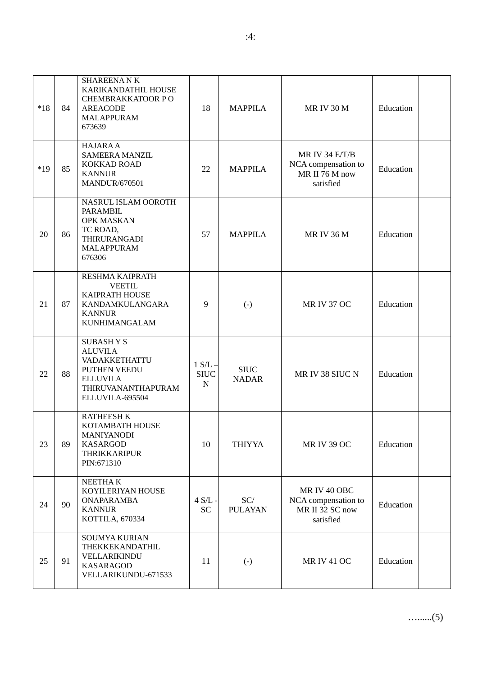| $*18$ | 84 | <b>SHAREENANK</b><br>KARIKANDATHIL HOUSE<br>CHEMBRAKKATOOR PO<br><b>AREACODE</b><br><b>MALAPPURAM</b><br>673639                       | 18                            | <b>MAPPILA</b>              | <b>MR IV 30 M</b>                                                    | Education |  |
|-------|----|---------------------------------------------------------------------------------------------------------------------------------------|-------------------------------|-----------------------------|----------------------------------------------------------------------|-----------|--|
| $*19$ | 85 | <b>HAJARA A</b><br><b>SAMEERA MANZIL</b><br>KOKKAD ROAD<br><b>KANNUR</b><br><b>MANDUR/670501</b>                                      | 22                            | <b>MAPPILA</b>              | MR IV 34 E/T/B<br>NCA compensation to<br>MR II 76 M now<br>satisfied | Education |  |
| 20    | 86 | NASRUL ISLAM OOROTH<br><b>PARAMBIL</b><br><b>OPK MASKAN</b><br>TC ROAD,<br>THIRURANGADI<br><b>MALAPPURAM</b><br>676306                | 57                            | <b>MAPPILA</b>              | <b>MR IV 36 M</b>                                                    | Education |  |
| 21    | 87 | RESHMA KAIPRATH<br><b>VEETIL</b><br>KAIPRATH HOUSE<br>KANDAMKULANGARA<br><b>KANNUR</b><br><b>KUNHIMANGALAM</b>                        | 9                             | $(-)$                       | <b>MR IV 37 OC</b>                                                   | Education |  |
| 22    | 88 | <b>SUBASHYS</b><br><b>ALUVILA</b><br>VADAKKETHATTU<br><b>PUTHEN VEEDU</b><br><b>ELLUVILA</b><br>THIRUVANANTHAPURAM<br>ELLUVILA-695504 | $1 S/L -$<br><b>SIUC</b><br>N | <b>SIUC</b><br><b>NADAR</b> | MR IV 38 SIUC N                                                      | Education |  |
| 23    | 89 | <b>RATHEESH K</b><br>KOTAMBATH HOUSE<br><b>MANIYANODI</b><br><b>KASARGOD</b><br><b>THRIKKARIPUR</b><br>PIN:671310                     | 10                            | <b>THIYYA</b>               | <b>MR IV 39 OC</b>                                                   | Education |  |
| 24    | 90 | NEETHA K<br>KOYILERIYAN HOUSE<br><b>ONAPARAMBA</b><br><b>KANNUR</b><br>KOTTILA, 670334                                                | $4$ S/L -<br><b>SC</b>        | SC/<br><b>PULAYAN</b>       | MR IV 40 OBC<br>NCA compensation to<br>MR II 32 SC now<br>satisfied  | Education |  |
| 25    | 91 | <b>SOUMYA KURIAN</b><br>THEKKEKANDATHIL<br>VELLARIKINDU<br><b>KASARAGOD</b><br>VELLARIKUNDU-671533                                    | 11                            | $(-)$                       | <b>MR IV 41 OC</b>                                                   | Education |  |

…......(5)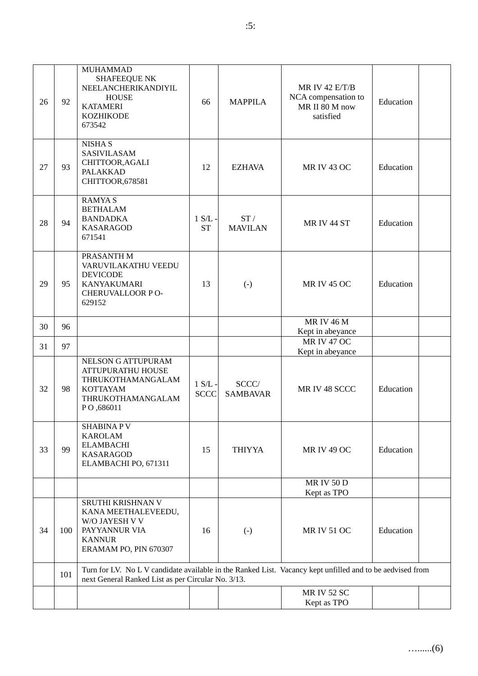| 26 | 92  | <b>MUHAMMAD</b><br><b>SHAFEEQUE NK</b><br>NEELANCHERIKANDIYIL<br><b>HOUSE</b><br><b>KATAMERI</b><br><b>KOZHIKODE</b><br>673542                                   | 66                       | <b>MAPPILA</b>           | MR IV 42 E/T/B<br>NCA compensation to<br>MR II 80 M now<br>satisfied | Education |  |
|----|-----|------------------------------------------------------------------------------------------------------------------------------------------------------------------|--------------------------|--------------------------|----------------------------------------------------------------------|-----------|--|
| 27 | 93  | <b>NISHAS</b><br>SASIVILASAM<br>CHITTOOR, AGALI<br>PALAKKAD<br>CHITTOOR,678581                                                                                   | 12                       | <b>EZHAVA</b>            | <b>MR IV 43 OC</b>                                                   | Education |  |
| 28 | 94  | <b>RAMYAS</b><br><b>BETHALAM</b><br>ST/<br>$1 S/L$ -<br><b>BANDADKA</b><br>MR IV 44 ST<br>Education<br><b>KASARAGOD</b><br><b>ST</b><br><b>MAVILAN</b><br>671541 |                          |                          |                                                                      |           |  |
| 29 | 95  | PRASANTH M<br>VARUVILAKATHU VEEDU<br><b>DEVICODE</b><br>KANYAKUMARI<br>CHERUVALLOOR PO-<br>629152                                                                | 13                       | $(-)$                    | <b>MRIV 45 OC</b>                                                    | Education |  |
| 30 | 96  |                                                                                                                                                                  |                          |                          | <b>MRIV 46 M</b>                                                     |           |  |
|    |     |                                                                                                                                                                  |                          |                          | Kept in abeyance<br><b>MR IV 47 OC</b>                               |           |  |
| 31 | 97  |                                                                                                                                                                  |                          |                          | Kept in abeyance                                                     |           |  |
| 32 | 98  | <b>NELSON G ATTUPURAM</b><br><b>ATTUPURATHU HOUSE</b><br>THRUKOTHAMANGALAM<br><b>KOTTAYAM</b><br>THRUKOTHAMANGALAM<br>PO,686011                                  | $1 S/L$ -<br><b>SCCC</b> | SCCC/<br><b>SAMBAVAR</b> | MR IV 48 SCCC                                                        | Education |  |
| 33 | 99  | <b>SHABINAPV</b><br><b>KAROLAM</b><br><b>ELAMBACHI</b><br><b>KASARAGOD</b><br>ELAMBACHI PO, 671311                                                               | 15                       | <b>THIYYA</b>            | <b>MR IV 49 OC</b>                                                   | Education |  |
|    |     |                                                                                                                                                                  |                          |                          | <b>MRIV50D</b><br>Kept as TPO                                        |           |  |
| 34 | 100 | SRUTHI KRISHNAN V<br>KANA MEETHALEVEEDU,<br>W/O JAYESH V V<br>PAYYANNUR VIA<br>16<br>$(-)$<br><b>KANNUR</b><br>ERAMAM PO, PIN 670307                             |                          |                          | <b>MR IV 51 OC</b>                                                   | Education |  |
|    | 101 | Turn for LV. No L V candidate available in the Ranked List. Vacancy kept unfilled and to be aedvised from<br>next General Ranked List as per Circular No. 3/13.  |                          |                          |                                                                      |           |  |
|    |     |                                                                                                                                                                  |                          |                          | <b>MR IV 52 SC</b><br>Kept as TPO                                    |           |  |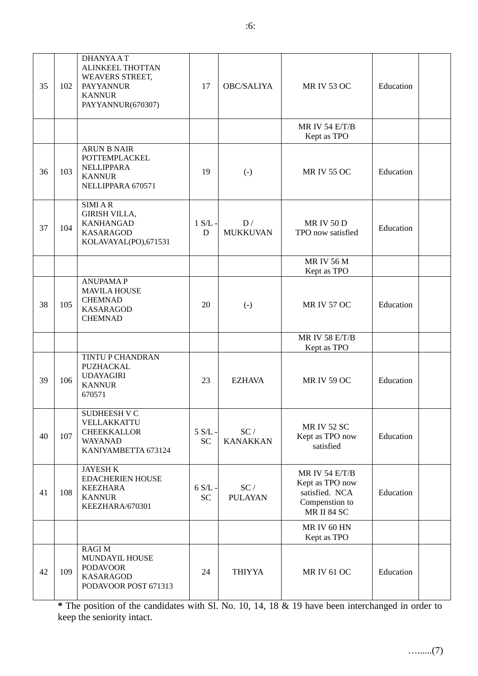| 35 | 102 | <b>DHANYAAT</b><br><b>ALINKEEL THOTTAN</b><br>WEAVERS STREET,<br><b>PAYYANNUR</b><br><b>KANNUR</b><br>PAYYANNUR(670307) | 17                     | <b>OBC/SALIYA</b>      | <b>MR IV 53 OC</b>                                                                          | Education |  |
|----|-----|-------------------------------------------------------------------------------------------------------------------------|------------------------|------------------------|---------------------------------------------------------------------------------------------|-----------|--|
|    |     |                                                                                                                         |                        |                        | MR IV 54 E/T/B<br>Kept as TPO                                                               |           |  |
| 36 | 103 | <b>ARUN B NAIR</b><br>POTTEMPLACKEL<br><b>NELLIPPARA</b><br><b>KANNUR</b><br>NELLIPPARA 670571                          | 19                     | $(-)$                  | <b>MR IV 55 OC</b>                                                                          | Education |  |
| 37 | 104 | <b>SIMIAR</b><br><b>GIRISH VILLA,</b><br><b>KANHANGAD</b><br><b>KASARAGOD</b><br>KOLAVAYAL(PO),671531                   | $1 S/L$ -<br>D         | D/<br><b>MUKKUVAN</b>  | <b>MR IV 50 D</b><br>TPO now satisfied                                                      | Education |  |
|    |     |                                                                                                                         |                        |                        | <b>MRIV 56 M</b><br>Kept as TPO                                                             |           |  |
| 38 | 105 | <b>ANUPAMAP</b><br><b>MAVILA HOUSE</b><br><b>CHEMNAD</b><br><b>KASARAGOD</b><br><b>CHEMNAD</b>                          | 20                     | $(-)$                  | <b>MR IV 57 OC</b>                                                                          | Education |  |
|    |     |                                                                                                                         |                        |                        | <b>MR IV 58 E/T/B</b><br>Kept as TPO                                                        |           |  |
| 39 | 106 | TINTU P CHANDRAN<br>PUZHACKAL<br><b>UDAYAGIRI</b><br><b>KANNUR</b><br>670571                                            | 23                     | <b>EZHAVA</b>          | <b>MRIV59 OC</b>                                                                            | Education |  |
| 40 | 107 | <b>SUDHEESH V C</b><br>VELLAKKATTU<br><b>CHEEKKALLOR</b><br>WAYANAD<br>KANIYAMBETTA 673124                              | $5 S/L -$<br><b>SC</b> | SC/<br><b>KANAKKAN</b> | <b>MR IV 52 SC</b><br>Kept as TPO now<br>satisfied                                          | Education |  |
| 41 | 108 | <b>JAYESH K</b><br><b>EDACHERIEN HOUSE</b><br><b>KEEZHARA</b><br><b>KANNUR</b><br>KEEZHARA/670301                       | $6 S/L -$<br><b>SC</b> | SC/<br><b>PULAYAN</b>  | MR IV 54 E/T/B<br>Kept as TPO now<br>satisfied. NCA<br>Compenstion to<br><b>MR II 84 SC</b> | Education |  |
|    |     |                                                                                                                         |                        |                        | MR IV 60 HN<br>Kept as TPO                                                                  |           |  |
| 42 | 109 | <b>RAGIM</b><br><b>MUNDAYIL HOUSE</b><br><b>PODAVOOR</b><br><b>KASARAGOD</b><br>PODAVOOR POST 671313                    | 24                     | <b>THIYYA</b>          | <b>MR IV 61 OC</b>                                                                          | Education |  |

**\*** The position of the candidates with Sl. No. 10, 14, 18 & 19 have been interchanged in order to keep the seniority intact.